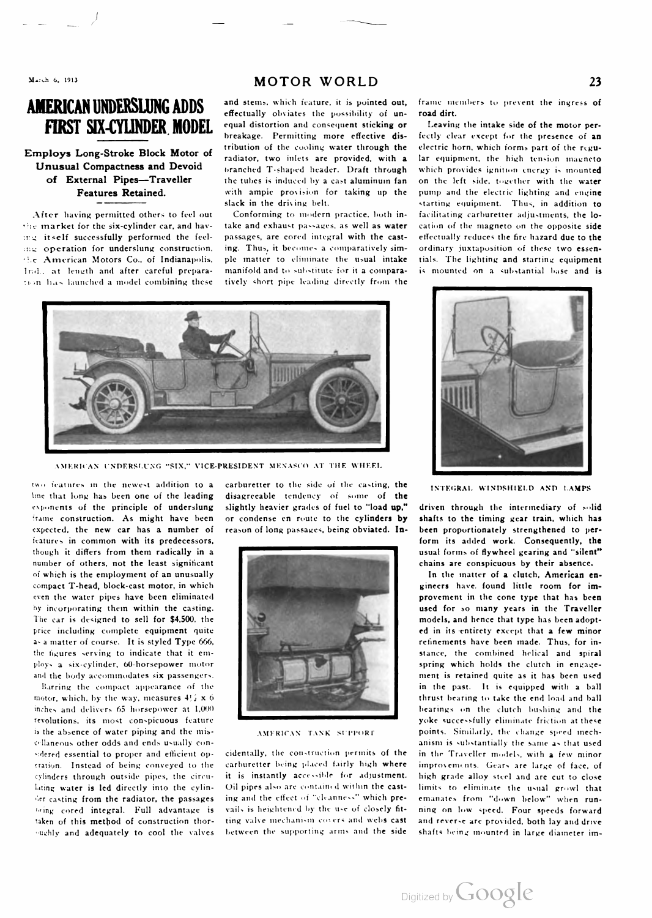# AMERICAN UNDERSLUNG ADDS and stems, which feature, it is pointed out, frame members to prevent the ingress of

the market for the six-cylinder car, and hav- take and exhaust passages, as well as water cation of the magneto on the opposite side<br>the itself successfully performed the feel- passages, are cored integral with the cast-ef ing itself successfully performed the feel- passages, are cored integral with the casting operation for underslung construction, ing. Thus, it becomes a comparatively sim- ordinary juxtaposition of these two essene American Motors Co., of Indianapolis, ple matter to eliminate the usual intake tials . The lighting and starting equipment Ind., at length and after careful prepara- manifold and to substitute for it a compara- is mounted on a substantial base and is slon has launched <sup>a</sup> model combining these tively short pipe leading directly from the

## MOTOR WORLD 23

effectually obviates the possibility of un-FIRST SIX-CYLINDER MODEL equal distortion and consequent sticking or Leaving the intake side of the motor per-<br>breakage. Permitting more effective dis- fectly clear except for the presence of an Employs Long-Stroke Block Motor of tribution of the cooling water through the energy Long-Stroke Block Motor of radiator, two inlets are provided, with a Unusual Compactness and Devoid<br>of External Pipes—Traveller the tubes is induced by a cast aluminum fan on the left side, together with the water the tubes is induced by a cast aluminum fan Features Retained. with ampie provision for taking up the pump and the electric lighting and engine

After having permitted others to feel out Conforming to modern practice, both in-facilitating carburetter adjustments, the lo-

fectly clear except for the presence of an electric horn, which forms part of the regular equipment, the high tension magneto ack in the driving belt.<br>Conforming to modern practice, both in- facilitating carburetter adjustments, the lo-



AMERICAN UNDERSLUNG "SIX," VICE-PRESIDENT MENASCO AT THE WHEEL

two features in the newest addition to a carburetter to the side of the casting, the INTEGRAL WINDSHIELD AND LAMPS<br>line that long has been one of the leading disagreeable tendency of some of the expected, the new car has a number of number of others, not the least significant of which is the employment of an unusually compact T-head, block-cast motor, in which

ughly and adequately to cool the valves between the supporting arms and the side shafts being mounted in large diameter im

disagreeable tendency of some of the exponents of the principle of underslung slightly heavier grades of fuel to "load up," driven through the intermediary of solid frame construction. As might have been or condense en route to the cylinders by shafts to the frame construction. As might have been or condense en route to the cylinders by shafts to the timing gear train, which has expected, the new car has a number of reason of long passages, being obviated. In- been proportiona





features in common with its predecessors,<br>though it differs from them radically in a usual forms of flywheel gearing and "silent"<br>chains are conspicuous by their absence.

In the matter of a clutch, American en-<br>gineers have found little room for imeven the water pipes have been eliminated provement in the cone type that has been by incorporating them within the casting.<br>The car is designed to sell for \$4,500, the the state of the models, and hence that type has been adoptmodels, and hence that type has been adoptprice including complete equipment quite et in the ed in its entirety except that a few minor as a matter of course. It is styled Type 666, as a matter of course. It is styled Type 666, and the formulation of the formulation of course. It is styled Type 666, and the formulation of the formulation of the formulation of the formulation of the formulation of the stance, the combined helical and spiral ploys a six-cylinder, 60-horsepower motor spring which holds the clutch in engageand the body accommodates six passengers.<br>Barring the compact appearance of the **the set of the set of the set of the set of the set of the set of the set** Barring the compact appearance of the in the past. It is equipped with a ball in the past. It is equipped with a ball thrust bearing to take the end load and ball thrust bearing to take the end load and ball inches and delivers 65 horsepower at 1,000 bearings on the clutch bushing and the explanations, its most conspicuous feature the clutch bushing and the explanation at these revolutions, its most conspicuous feature and the second of the successfully eliminate friction at these is the absence of water piping and the mis-<br>In the absence of water piping and the mis-<br>AMERICAN TANK SUPFORT points. AMERICAN TANK SUPPORT points. Similarly, the change spred mechcellaneous other odds and ends usually con-<br>sidered essential to proper and efficient op- cidentally, the construction permits of the in the Traveller models, with a few minor in the Traveller models, with a few minor eration. Instead of being conveyed to the carburetter being placed fairly high where improvements. Gears are large of face, of<br>cylinders through outside pines, the circu- it is instantly accessible for adjustment. high gra cylinders through outside pipes, the circu- it is instantly accessible for adjustment. high grade alloy steel and are cut to close lating water is led directly into the cylin- Oil pipes also are contained within the cast-limits to eliminate the usual growl that der casting from the radiator, the passages ing and the effect of "cleanness" which pre- emanates from "down below" when runbeing cored integral. Full advantage is vails is heightened by the use of closely fit- ning on low speed. Four speeds forward<br>taken of this method of construction thor- ting valve mechanism covers and webs cast and reverse taken of this method of construction thor- ting valve mechanism covers and webs cast and reverse are provided, both lay and drive

Digitized by **Google**